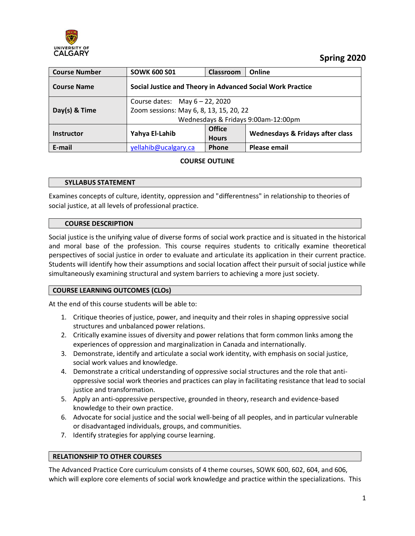

 **Spring 2020**

| <b>Course Number</b> | <b>SOWK 600 S01</b>                                                                                                 | <b>Classroom</b>              | Online                                      |  |  |
|----------------------|---------------------------------------------------------------------------------------------------------------------|-------------------------------|---------------------------------------------|--|--|
| <b>Course Name</b>   | Social Justice and Theory in Advanced Social Work Practice                                                          |                               |                                             |  |  |
| Day(s) & Time        | Course dates: May $6 - 22$ , 2020<br>Zoom sessions: May 6, 8, 13, 15, 20, 22<br>Wednesdays & Fridays 9:00am-12:00pm |                               |                                             |  |  |
| <b>Instructor</b>    | Yahya El-Lahib                                                                                                      | <b>Office</b><br><b>Hours</b> | <b>Wednesdays &amp; Fridays after class</b> |  |  |
| E-mail               | yellahib@ucalgary.ca                                                                                                | Phone                         | <b>Please email</b>                         |  |  |

## **COURSE OUTLINE**

### **SYLLABUS STATEMENT**

Examines concepts of culture, identity, oppression and "differentness" in relationship to theories of social justice, at all levels of professional practice.

#### **COURSE DESCRIPTION**

Social justice is the unifying value of diverse forms of social work practice and is situated in the historical and moral base of the profession. This course requires students to critically examine theoretical perspectives of social justice in order to evaluate and articulate its application in their current practice. Students will identify how their assumptions and social location affect their pursuit of social justice while simultaneously examining structural and system barriers to achieving a more just society.

### **COURSE LEARNING OUTCOMES (CLOs)**

At the end of this course students will be able to:

- 1. Critique theories of justice, power, and inequity and their roles in shaping oppressive social structures and unbalanced power relations.
- 2. Critically examine issues of diversity and power relations that form common links among the experiences of oppression and marginalization in Canada and internationally.
- 3. Demonstrate, identify and articulate a social work identity, with emphasis on social justice, social work values and knowledge.
- 4. Demonstrate a critical understanding of oppressive social structures and the role that antioppressive social work theories and practices can play in facilitating resistance that lead to social justice and transformation.
- 5. Apply an anti-oppressive perspective, grounded in theory, research and evidence-based knowledge to their own practice.
- 6. Advocate for social justice and the social well-being of all peoples, and in particular vulnerable or disadvantaged individuals, groups, and communities.
- 7. Identify strategies for applying course learning.

### **RELATIONSHIP TO OTHER COURSES**

The Advanced Practice Core curriculum consists of 4 theme courses, SOWK 600, 602, 604, and 606, which will explore core elements of social work knowledge and practice within the specializations. This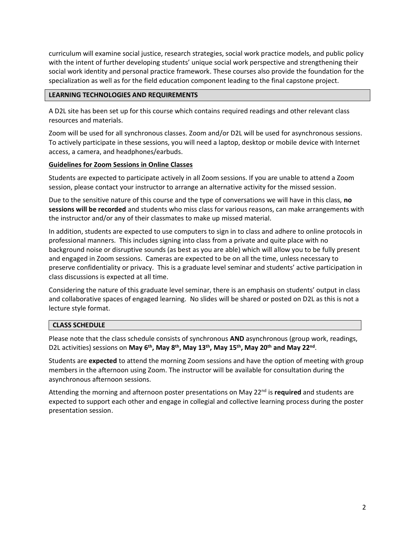curriculum will examine social justice, research strategies, social work practice models, and public policy with the intent of further developing students' unique social work perspective and strengthening their social work identity and personal practice framework. These courses also provide the foundation for the specialization as well as for the field education component leading to the final capstone project.

### **LEARNING TECHNOLOGIES AND REQUIREMENTS**

A D2L site has been set up for this course which contains required readings and other relevant class resources and materials.

Zoom will be used for all synchronous classes. Zoom and/or D2L will be used for asynchronous sessions. To actively participate in these sessions, you will need a laptop, desktop or mobile device with Internet access, a camera, and headphones/earbuds.

#### **Guidelines for Zoom Sessions in Online Classes**

Students are expected to participate actively in all Zoom sessions. If you are unable to attend a Zoom session, please contact your instructor to arrange an alternative activity for the missed session.

Due to the sensitive nature of this course and the type of conversations we will have in this class, **no sessions will be recorded** and students who miss class for various reasons, can make arrangements with the instructor and/or any of their classmates to make up missed material.

In addition, students are expected to use computers to sign in to class and adhere to online protocols in professional manners. This includes signing into class from a private and quite place with no background noise or disruptive sounds (as best as you are able) which will allow you to be fully present and engaged in Zoom sessions. Cameras are expected to be on all the time, unless necessary to preserve confidentiality or privacy. This is a graduate level seminar and students' active participation in class discussions is expected at all time.

Considering the nature of this graduate level seminar, there is an emphasis on students' output in class and collaborative spaces of engaged learning. No slides will be shared or posted on D2L as this is not a lecture style format.

### **CLASS SCHEDULE**

Please note that the class schedule consists of synchronous **AND** asynchronous (group work, readings, D2L activities) sessions on **May 6th, May 8th, May 13th, May 15th, May 20th and May 22nd** .

Students are **expected** to attend the morning Zoom sessions and have the option of meeting with group members in the afternoon using Zoom. The instructor will be available for consultation during the asynchronous afternoon sessions.

Attending the morning and afternoon poster presentations on May 22<sup>nd</sup> is **required** and students are expected to support each other and engage in collegial and collective learning process during the poster presentation session.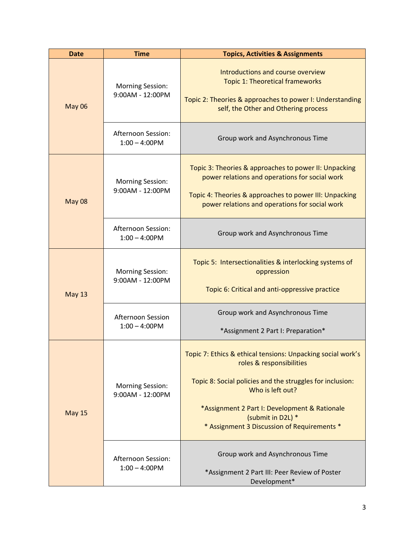| <b>Date</b>   | <b>Time</b>                                 | <b>Topics, Activities &amp; Assignments</b>                                                                                                                                                                                                                                                   |
|---------------|---------------------------------------------|-----------------------------------------------------------------------------------------------------------------------------------------------------------------------------------------------------------------------------------------------------------------------------------------------|
| <b>May 06</b> | <b>Morning Session:</b><br>9:00AM - 12:00PM | Introductions and course overview<br><b>Topic 1: Theoretical frameworks</b><br>Topic 2: Theories & approaches to power I: Understanding<br>self, the Other and Othering process                                                                                                               |
|               | Afternoon Session:<br>$1:00 - 4:00$ PM      | Group work and Asynchronous Time                                                                                                                                                                                                                                                              |
| <b>May 08</b> | <b>Morning Session:</b><br>9:00AM - 12:00PM | Topic 3: Theories & approaches to power II: Unpacking<br>power relations and operations for social work<br>Topic 4: Theories & approaches to power III: Unpacking<br>power relations and operations for social work                                                                           |
|               | Afternoon Session:<br>$1:00 - 4:00$ PM      | Group work and Asynchronous Time                                                                                                                                                                                                                                                              |
| <b>May 13</b> | <b>Morning Session:</b><br>9:00AM - 12:00PM | Topic 5: Intersectionalities & interlocking systems of<br>oppression<br>Topic 6: Critical and anti-oppressive practice                                                                                                                                                                        |
|               | Afternoon Session<br>$1:00 - 4:00$ PM       | Group work and Asynchronous Time<br>*Assignment 2 Part I: Preparation*                                                                                                                                                                                                                        |
| <b>May 15</b> | <b>Morning Session:</b><br>9:00AM - 12:00PM | Topic 7: Ethics & ethical tensions: Unpacking social work's<br>roles & responsibilities<br>Topic 8: Social policies and the struggles for inclusion:<br>Who is left out?<br>*Assignment 2 Part I: Development & Rationale<br>(submit in D2L) *<br>* Assignment 3 Discussion of Requirements * |
|               | Afternoon Session:<br>$1:00 - 4:00$ PM      | Group work and Asynchronous Time<br>*Assignment 2 Part III: Peer Review of Poster<br>Development*                                                                                                                                                                                             |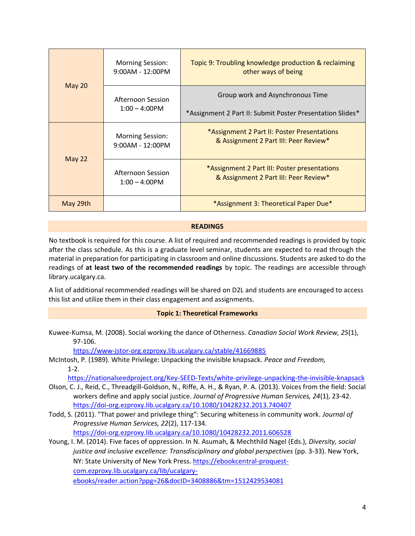| <b>May 20</b> | <b>Morning Session:</b><br>$9:00AM - 12:00PM$ | Topic 9: Troubling knowledge production & reclaiming<br>other ways of being                   |
|---------------|-----------------------------------------------|-----------------------------------------------------------------------------------------------|
|               | Afternoon Session<br>$1:00 - 4:00$ PM         | Group work and Asynchronous Time<br>*Assignment 2 Part II: Submit Poster Presentation Slides* |
| <b>May 22</b> | <b>Morning Session:</b><br>$9:00AM - 12:00PM$ | *Assignment 2 Part II: Poster Presentations<br>& Assignment 2 Part III: Peer Review*          |
|               | Afternoon Session<br>$1:00 - 4:00$ PM         | *Assignment 2 Part III: Poster presentations<br>& Assignment 2 Part III: Peer Review*         |
| May 29th      |                                               | *Assignment 3: Theoretical Paper Due*                                                         |

### **READINGS**

No textbook is required for this course. A list of required and recommended readings is provided by topic after the class schedule. As this is a graduate level seminar, students are expected to read through the material in preparation for participating in classroom and online discussions. Students are asked to do the readings of **at least two of the recommended readings** by topic. The readings are accessible through library.ucalgary.ca.

A list of additional recommended readings will be shared on D2L and students are encouraged to access this list and utilize them in their class engagement and assignments.

### **Topic 1: Theoretical Frameworks**

Kuwee-Kumsa, M. (2008). Social working the dance of Otherness. *Canadian Social Work Review, 25*(1), 97-106.

<https://www-jstor-org.ezproxy.lib.ucalgary.ca/stable/41669885>

McIntosh, P. (1989). White Privilege: Unpacking the invisible knapsack. *Peace and Freedom,*  1-2.

<https://nationalseedproject.org/Key-SEED-Texts/white-privilege-unpacking-the-invisible-knapsack>

- Olson, C. J., Reid, C., Threadgill-Goldson, N., Riffe, A. H., & Ryan, P. A. (2013). Voices from the field: Social workers define and apply social justice. *Journal of Progressive Human Services, 24*(1), 23-42. <https://doi-org.ezproxy.lib.ucalgary.ca/10.1080/10428232.2013.740407>
- Todd, S. (2011). "That power and privilege thing": Securing whiteness in community work. *Journal of Progressive Human Services, 22*(2), 117-134. <https://doi-org.ezproxy.lib.ucalgary.ca/10.1080/10428232.2011.606528>

Young, I. M. (2014). Five faces of oppression. In N. Asumah, & Mechthild Nagel (Eds.), *Diversity, social justice and inclusive excellence: Transdisciplinary and global perspectives* (pp. 3-33). New York, NY: State University of New York Press. [https://ebookcentral-proquest](https://ebookcentral-proquest-com.ezproxy.lib.ucalgary.ca/lib/ucalgary-ebooks/reader.action?ppg=26&docID=3408886&tm=1512429534081)[com.ezproxy.lib.ucalgary.ca/lib/ucalgary](https://ebookcentral-proquest-com.ezproxy.lib.ucalgary.ca/lib/ucalgary-ebooks/reader.action?ppg=26&docID=3408886&tm=1512429534081)[ebooks/reader.action?ppg=26&docID=3408886&tm=1512429534081](https://ebookcentral-proquest-com.ezproxy.lib.ucalgary.ca/lib/ucalgary-ebooks/reader.action?ppg=26&docID=3408886&tm=1512429534081)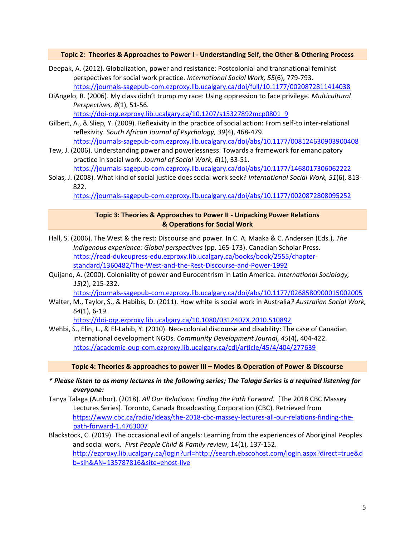#### **Topic 2: Theories & Approaches to Power I - Understanding Self, the Other & Othering Process**

- Deepak, A. (2012). Globalization, power and resistance: Postcolonial and transnational feminist perspectives for social work practice*. International Social Work, 55*(6), 779-793. <https://journals-sagepub-com.ezproxy.lib.ucalgary.ca/doi/full/10.1177/0020872811414038>
- DiAngelo, R. (2006). My class didn't trump my race: Using oppression to face privilege. *Multicultural Perspectives, 8*(1), 51-56.

[https://doi-org.ezproxy.lib.ucalgary.ca/10.1207/s15327892mcp0801\\_9](https://doi-org.ezproxy.lib.ucalgary.ca/10.1207/s15327892mcp0801_9)

- Gilbert, A., & Sliep, Y. (2009). Reflexivity in the practice of social action: From self-to inter-relational reflexivity. *South African Journal of Psychology, 39*(4), 468-479. <https://journals-sagepub-com.ezproxy.lib.ucalgary.ca/doi/abs/10.1177/008124630903900408>
- Tew, J. (2006). Understanding power and powerlessness: Towards a framework for emancipatory practice in social work. *Journal of Social Work, 6*(1), 33-51. <https://journals-sagepub-com.ezproxy.lib.ucalgary.ca/doi/abs/10.1177/1468017306062222>
- Solas, J. (2008). What kind of social justice does social work seek? *International Social Work, 51*(6), 813- 822.

<https://journals-sagepub-com.ezproxy.lib.ucalgary.ca/doi/abs/10.1177/0020872808095252>

#### **Topic 3: Theories & Approaches to Power II - Unpacking Power Relations & Operations for Social Work**

- Hall, S. (2006). The West & the rest: Discourse and power. In C. A. Maaka & C. Andersen (Eds.), *The Indigenous experience: Global perspectives* (pp. 165-173). Canadian Scholar Press. [https://read-dukeupress-edu.ezproxy.lib.ucalgary.ca/books/book/2555/chapter](https://read-dukeupress-edu.ezproxy.lib.ucalgary.ca/books/book/2555/chapter-standard/1360482/The-West-and-the-Rest-Discourse-and-Power-1992)[standard/1360482/The-West-and-the-Rest-Discourse-and-Power-1992](https://read-dukeupress-edu.ezproxy.lib.ucalgary.ca/books/book/2555/chapter-standard/1360482/The-West-and-the-Rest-Discourse-and-Power-1992)
- Quijano, A. (2000). Coloniality of power and Eurocentrism in Latin America. *International Sociology, 15*(2), 215-232.

<https://journals-sagepub-com.ezproxy.lib.ucalgary.ca/doi/abs/10.1177/0268580900015002005>

Walter, M., Taylor, S., & Habibis, D. (2011). How white is social work in Australia*? Australian Social Work, 64*(1), 6-19.

<https://doi-org.ezproxy.lib.ucalgary.ca/10.1080/0312407X.2010.510892>

Wehbi, S., Elin, L., & El-Lahib, Y. (2010). Neo-colonial discourse and disability: The case of Canadian international development NGOs. *Community Development Journal, 45*(4), 404-422. <https://academic-oup-com.ezproxy.lib.ucalgary.ca/cdj/article/45/4/404/277639>

**Topic 4: Theories & approaches to power III – Modes & Operation of Power & Discourse**

- *\* Please listen to as many lectures in the following series; The Talaga Series is a required listening for everyone:*
- Tanya Talaga (Author). (2018). *All Our Relations: Finding the Path Forward.* [The 2018 CBC Massey Lectures Series]. Toronto, Canada Broadcasting Corporation (CBC). Retrieved from [https://www.cbc.ca/radio/ideas/the-2018-cbc-massey-lectures-all-our-relations-finding-the](https://www.cbc.ca/radio/ideas/the-2018-cbc-massey-lectures-all-our-relations-finding-the-path-forward-1.4763007)[path-forward-1.4763007](https://www.cbc.ca/radio/ideas/the-2018-cbc-massey-lectures-all-our-relations-finding-the-path-forward-1.4763007)
- Blackstock, C. (2019). The occasional evil of angels: Learning from the experiences of Aboriginal Peoples and social work*. First People Child & Family review*, 14(1), 137-152. [http://ezproxy.lib.ucalgary.ca/login?url=http://search.ebscohost.com/login.aspx?direct=true&d](http://ezproxy.lib.ucalgary.ca/login?url=http://search.ebscohost.com/login.aspx?direct=true&db=sih&AN=135787816&site=ehost-live) [b=sih&AN=135787816&site=ehost-live](http://ezproxy.lib.ucalgary.ca/login?url=http://search.ebscohost.com/login.aspx?direct=true&db=sih&AN=135787816&site=ehost-live)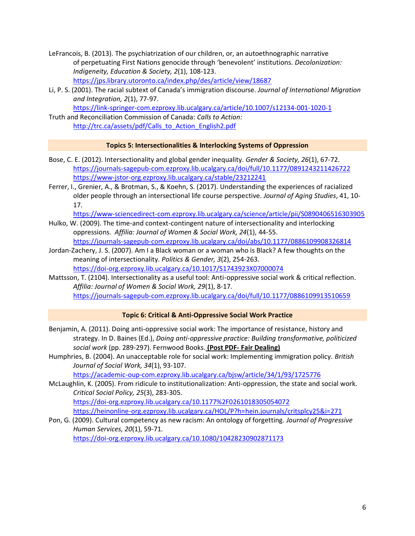- LeFrancois, B. (2013). The psychiatrization of our children, or, an autoethnographic narrative of perpetuating First Nations genocide through 'benevolent' institutions. *Decolonization: Indigeneity, Education & Society, 2*(1), 108-123. <https://jps.library.utoronto.ca/index.php/des/article/view/18687>
- Li, P. S. (2001). The racial subtext of Canada's immigration discourse. *Journal of International Migration and Integration, 2*(1), 77-97.

<https://link-springer-com.ezproxy.lib.ucalgary.ca/article/10.1007/s12134-001-1020-1>

Truth and Reconciliation Commission of Canada: *Calls to Action:* [http://trc.ca/assets/pdf/Calls\\_to\\_Action\\_English2.pdf](http://trc.ca/assets/pdf/Calls_to_Action_English2.pdf)

#### **Topics 5: Intersectionalities & Interlocking Systems of Oppression**

- Bose, C. E. (2012). Intersectionality and global gender inequality. *Gender & Society, 26*(1), 67-72. <https://journals-sagepub-com.ezproxy.lib.ucalgary.ca/doi/full/10.1177/0891243211426722> <https://www-jstor-org.ezproxy.lib.ucalgary.ca/stable/23212241>
- Ferrer, I., Grenier, A., & Brotman, S., & Koehn, S. (2017). Understanding the experiences of racialized older people through an intersectional life course perspective. *Journal of Aging Studies*, 41, 10- 17.

<https://www-sciencedirect-com.ezproxy.lib.ucalgary.ca/science/article/pii/S0890406516303905>

- Hulko, W. (2009). The time-and context-contingent nature of intersectionality and interlocking oppressions. *Affilia: Journal of Women & Social Work, 24*(1), 44-55. <https://journals-sagepub-com.ezproxy.lib.ucalgary.ca/doi/abs/10.1177/0886109908326814>
- Jordan-Zachery, J. S. (2007). Am I a Black woman or a woman who is Black? A few thoughts on the meaning of intersectionality. *Politics & Gender, 3*(2), 254-263. <https://doi-org.ezproxy.lib.ucalgary.ca/10.1017/S1743923X07000074>
- Mattsson, T. (2104). Intersectionality as a useful tool: Anti-oppressive social work & critical reflection. *Affilia: Journal of Women & Social Work, 29*(1), 8-17.

<https://journals-sagepub-com.ezproxy.lib.ucalgary.ca/doi/full/10.1177/0886109913510659>

### **Topic 6: Critical & Anti-Oppressive Social Work Practice**

- Benjamin, A. (2011). Doing anti-oppressive social work: The importance of resistance, history and strategy. In D. Baines (Ed.), *Doing anti-oppressive practice: Building transformative, politicized social work* (pp. 289-297). Fernwood Books. **(Post PDF- Fair Dealing)**
- Humphries, B. (2004). An unacceptable role for social work: Implementing immigration policy. *British Journal of Social Work, 34*(1), 93-107.

<https://academic-oup-com.ezproxy.lib.ucalgary.ca/bjsw/article/34/1/93/1725776>

- McLaughlin, K. (2005). From ridicule to institutionalization: Anti-oppression, the state and social work. *Critical Social Policy, 25*(3), 283-305. <https://doi-org.ezproxy.lib.ucalgary.ca/10.1177%2F0261018305054072> <https://heinonline-org.ezproxy.lib.ucalgary.ca/HOL/P?h=hein.journals/critsplcy25&i=271>
- Pon, G. (2009). Cultural competency as new racism: An ontology of forgetting. *Journal of Progressive Human Services, 20*(1), 59-71. <https://doi-org.ezproxy.lib.ucalgary.ca/10.1080/10428230902871173>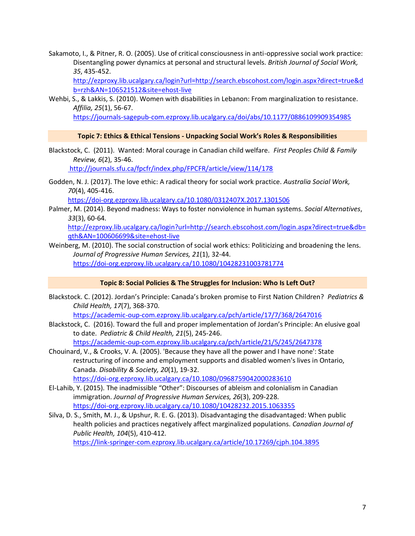Sakamoto, I., & Pitner, R. O. (2005). Use of critical consciousness in anti-oppressive social work practice: Disentangling power dynamics at personal and structural levels. *British Journal of Social Work, 35*, 435-452.

[http://ezproxy.lib.ucalgary.ca/login?url=http://search.ebscohost.com/login.aspx?direct=true&d](http://ezproxy.lib.ucalgary.ca/login?url=http://search.ebscohost.com/login.aspx?direct=true&db=rzh&AN=106521512&site=ehost-live) [b=rzh&AN=106521512&site=ehost-live](http://ezproxy.lib.ucalgary.ca/login?url=http://search.ebscohost.com/login.aspx?direct=true&db=rzh&AN=106521512&site=ehost-live)

Wehbi, S., & Lakkis, S. (2010). Women with disabilities in Lebanon: From marginalization to resistance. *Affilia, 25*(1), 56-67.

<https://journals-sagepub-com.ezproxy.lib.ucalgary.ca/doi/abs/10.1177/0886109909354985>

#### **Topic 7: Ethics & Ethical Tensions - Unpacking Social Work's Roles & Responsibilities**

- Blackstock, C. (2011). Wanted: Moral courage in Canadian child welfare. *First Peoples Child & Family Review, 6*(2), 35-46. <http://journals.sfu.ca/fpcfr/index.php/FPCFR/article/view/114/178>
- Godden, N. J. (2017). The love ethic: A radical theory for social work practice. *Australia Social Work, 70*(4), 405-416.

<https://doi-org.ezproxy.lib.ucalgary.ca/10.1080/0312407X.2017.1301506>

Palmer, M. (2014). Beyond madness: Ways to foster nonviolence in human systems. *Social Alternatives*, *33*(3), 60-64.

[http://ezproxy.lib.ucalgary.ca/login?url=http://search.ebscohost.com/login.aspx?direct=true&db=](http://ezproxy.lib.ucalgary.ca/login?url=http://search.ebscohost.com/login.aspx?direct=true&db=qth&AN=100606699&site=ehost-live) [qth&AN=100606699&site=ehost-live](http://ezproxy.lib.ucalgary.ca/login?url=http://search.ebscohost.com/login.aspx?direct=true&db=qth&AN=100606699&site=ehost-live)

Weinberg, M. (2010). The social construction of social work ethics: Politicizing and broadening the lens. *Journal of Progressive Human Services, 21*(1), 32-44. <https://doi-org.ezproxy.lib.ucalgary.ca/10.1080/10428231003781774>

#### **Topic 8: Social Policies & The Struggles for Inclusion: Who Is Left Out?**

Blackstock. C. (2012). Jordan's Principle: Canada's broken promise to First Nation Children? *Pediatrics & Child Health, 17*(7), 368-370.

<https://academic-oup-com.ezproxy.lib.ucalgary.ca/pch/article/17/7/368/2647016>

Blackstock, C. (2016). Toward the full and proper implementation of Jordan's Principle: An elusive goal to date. *Pediatric & Child Health, 21*(5), 245-246.

<https://academic-oup-com.ezproxy.lib.ucalgary.ca/pch/article/21/5/245/2647378>

- Chouinard, V., & Crooks, V. A. (2005). 'Because they have all the power and I have none': State restructuring of income and employment supports and disabled women's lives in Ontario, Canada. *Disability & Society, 20*(1), 19-32. <https://doi-org.ezproxy.lib.ucalgary.ca/10.1080/0968759042000283610>
- El-Lahib, Y. (2015). The inadmissible "Other": Discourses of ableism and colonialism in Canadian immigration. *Journal of Progressive Human Services, 26*(3), 209-228. <https://doi-org.ezproxy.lib.ucalgary.ca/10.1080/10428232.2015.1063355>
- Silva, D. S., Smith, M. J., & Upshur, R. E. G. (2013). Disadvantaging the disadvantaged: When public health policies and practices negatively affect marginalized populations. *Canadian Journal of Public Health, 104*(5), 410-412.

<https://link-springer-com.ezproxy.lib.ucalgary.ca/article/10.17269/cjph.104.3895>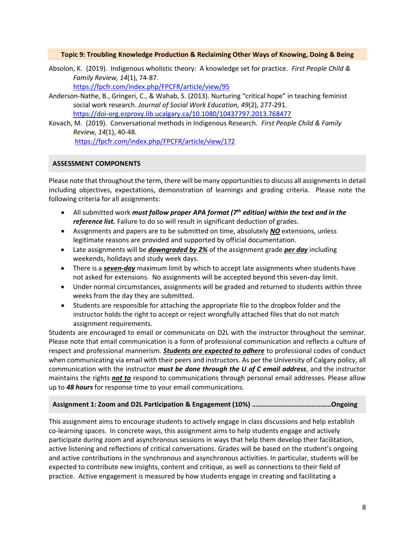#### **Topic 9: Troubling Knowledge Production & Reclaiming Other Ways of Knowing, Doing & Being**

Absolon, K. (2019). Indigenous wholistic theory: A knowledge set for practice. *First People Child & Family Review, 14*(1), 74-87.

<https://fpcfr.com/index.php/FPCFR/article/view/95>

- Anderson-Nathe, B., Gringeri, C., & Wahab, S. (2013). Nurturing "critical hope" in teaching feminist social work research. *Journal of Social Work Education, 49*(2), 277-291. <https://doi-org.ezproxy.lib.ucalgary.ca/10.1080/10437797.2013.768477>
- Kovach, M. (2019). Conversational methods in Indigenous Research. *First People Child & Family Review, 14*(1), 40-48.

<https://fpcfr.com/index.php/FPCFR/article/view/172>

# **ASSESSMENT COMPONENTS**

Please note that throughout the term, there will be many opportunities to discuss all assignments in detail including objectives, expectations, demonstration of learnings and grading criteria. Please note the following criteria for all assignments:

- All submitted work *must follow proper APA format (7th edition) within the text and in the reference list.* Failure to do so will result in significant deduction of grades.
- Assignments and papers are to be submitted on time, absolutely *NO* extensions, unless legitimate reasons are provided and supported by official documentation.
- Late assignments will be *downgraded by 2%* of the assignment grade *per day* including weekends, holidays and study week days.
- There is a *seven-day* maximum limit by which to accept late assignments when students have not asked for extensions. No assignments will be accepted beyond this seven-day limit.
- Under normal circumstances, assignments will be graded and returned to students within three weeks from the day they are submitted.
- Students are responsible for attaching the appropriate file to the dropbox folder and the instructor holds the right to accept or reject wrongfully attached files that do not match assignment requirements.

Students are encouraged to email or communicate on D2L with the instructor throughout the seminar. Please note that email communication is a form of professional communication and reflects a culture of respect and professional mannerism. *Students are expected to adhere* to professional codes of conduct when communicating via email with their peers and instructors. As per the University of Calgary policy, all communication with the instructor *must be done through the U of C email address*, and the instructor maintains the rights *not to* respond to communications through personal email addresses. Please allow up to *48 hours* for response time to your email communications.

### **Assignment 1: Zoom and D2L Participation & Engagement (10%) ………………………………………Ongoing**

This assignment aims to encourage students to actively engage in class discussions and help establish co-learning spaces. In concrete ways, this assignment aims to help students engage and actively participate during zoom and asynchronous sessions in ways that help them develop their facilitation, active listening and reflections of critical conversations. Grades will be based on the student's ongoing and active contributions in the synchronous and asynchronous activities. In particular, students will be expected to contribute new insights, content and critique, as well as connections to their field of practice. Active engagement is measured by how students engage in creating and facilitating a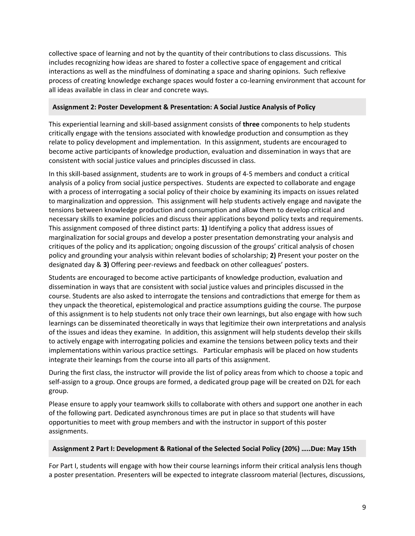collective space of learning and not by the quantity of their contributions to class discussions. This includes recognizing how ideas are shared to foster a collective space of engagement and critical interactions as well as the mindfulness of dominating a space and sharing opinions. Such reflexive process of creating knowledge exchange spaces would foster a co-learning environment that account for all ideas available in class in clear and concrete ways.

### **Assignment 2: Poster Development & Presentation: A Social Justice Analysis of Policy**

This experiential learning and skill-based assignment consists of **three** components to help students critically engage with the tensions associated with knowledge production and consumption as they relate to policy development and implementation. In this assignment, students are encouraged to become active participants of knowledge production, evaluation and dissemination in ways that are consistent with social justice values and principles discussed in class.

In this skill-based assignment, students are to work in groups of 4-5 members and conduct a critical analysis of a policy from social justice perspectives. Students are expected to collaborate and engage with a process of interrogating a social policy of their choice by examining its impacts on issues related to marginalization and oppression. This assignment will help students actively engage and navigate the tensions between knowledge production and consumption and allow them to develop critical and necessary skills to examine policies and discuss their applications beyond policy texts and requirements. This assignment composed of three distinct parts: **1)** Identifying a policy that address issues of marginalization for social groups and develop a poster presentation demonstrating your analysis and critiques of the policy and its application; ongoing discussion of the groups' critical analysis of chosen policy and grounding your analysis within relevant bodies of scholarship; **2)** Present your poster on the designated day & **3)** Offering peer-reviews and feedback on other colleagues' posters.

Students are encouraged to become active participants of knowledge production, evaluation and dissemination in ways that are consistent with social justice values and principles discussed in the course. Students are also asked to interrogate the tensions and contradictions that emerge for them as they unpack the theoretical, epistemological and practice assumptions guiding the course. The purpose of this assignment is to help students not only trace their own learnings, but also engage with how such learnings can be disseminated theoretically in ways that legitimize their own interpretations and analysis of the issues and ideas they examine. In addition, this assignment will help students develop their skills to actively engage with interrogating policies and examine the tensions between policy texts and their implementations within various practice settings. Particular emphasis will be placed on how students integrate their learnings from the course into all parts of this assignment.

During the first class, the instructor will provide the list of policy areas from which to choose a topic and self-assign to a group. Once groups are formed, a dedicated group page will be created on D2L for each group.

Please ensure to apply your teamwork skills to collaborate with others and support one another in each of the following part. Dedicated asynchronous times are put in place so that students will have opportunities to meet with group members and with the instructor in support of this poster assignments.

# **Assignment 2 Part I: Development & Rational of the Selected Social Policy (20%) …..Due: May 15th**

For Part I, students will engage with how their course learnings inform their critical analysis lens though a poster presentation. Presenters will be expected to integrate classroom material (lectures, discussions,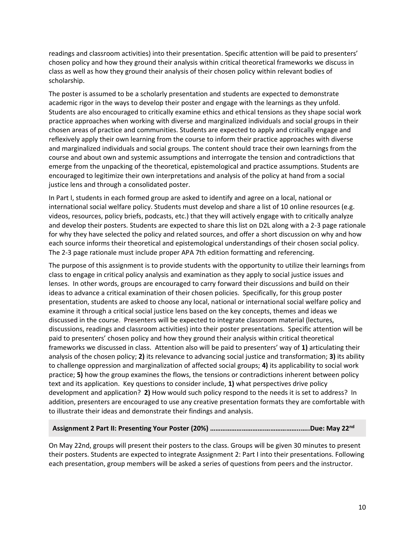readings and classroom activities) into their presentation. Specific attention will be paid to presenters' chosen policy and how they ground their analysis within critical theoretical frameworks we discuss in class as well as how they ground their analysis of their chosen policy within relevant bodies of scholarship.

The poster is assumed to be a scholarly presentation and students are expected to demonstrate academic rigor in the ways to develop their poster and engage with the learnings as they unfold. Students are also encouraged to critically examine ethics and ethical tensions as they shape social work practice approaches when working with diverse and marginalized individuals and social groups in their chosen areas of practice and communities. Students are expected to apply and critically engage and reflexively apply their own learning from the course to inform their practice approaches with diverse and marginalized individuals and social groups. The content should trace their own learnings from the course and about own and systemic assumptions and interrogate the tension and contradictions that emerge from the unpacking of the theoretical, epistemological and practice assumptions. Students are encouraged to legitimize their own interpretations and analysis of the policy at hand from a social justice lens and through a consolidated poster.

In Part I, students in each formed group are asked to identify and agree on a local, national or international social welfare policy. Students must develop and share a list of 10 online resources (e.g. videos, resources, policy briefs, podcasts, etc.) that they will actively engage with to critically analyze and develop their posters. Students are expected to share this list on D2L along with a 2-3 page rationale for why they have selected the policy and related sources, and offer a short discussion on why and how each source informs their theoretical and epistemological understandings of their chosen social policy. The 2-3 page rationale must include proper APA 7th edition formatting and referencing.

The purpose of this assignment is to provide students with the opportunity to utilize their learnings from class to engage in critical policy analysis and examination as they apply to social justice issues and lenses. In other words, groups are encouraged to carry forward their discussions and build on their ideas to advance a critical examination of their chosen policies. Specifically, for this group poster presentation, students are asked to choose any local, national or international social welfare policy and examine it through a critical social justice lens based on the key concepts, themes and ideas we discussed in the course. Presenters will be expected to integrate classroom material (lectures, discussions, readings and classroom activities) into their poster presentations. Specific attention will be paid to presenters' chosen policy and how they ground their analysis within critical theoretical frameworks we discussed in class. Attention also will be paid to presenters' way of **1)** articulating their analysis of the chosen policy; **2)** its relevance to advancing social justice and transformation; **3)** its ability to challenge oppression and marginalization of affected social groups; **4)** its applicability to social work practice; **5)** how the group examines the flows, the tensions or contradictions inherent between policy text and its application. Key questions to consider include, **1)** what perspectives drive policy development and application? **2)** How would such policy respond to the needs it is set to address? In addition, presenters are encouraged to use any creative presentation formats they are comfortable with to illustrate their ideas and demonstrate their findings and analysis.

### **Assignment 2 Part II: Presenting Your Poster (20%) ………………………….………………..…..Due: May 22nd**

On May 22nd, groups will present their posters to the class. Groups will be given 30 minutes to present their posters. Students are expected to integrate Assignment 2: Part I into their presentations. Following each presentation, group members will be asked a series of questions from peers and the instructor.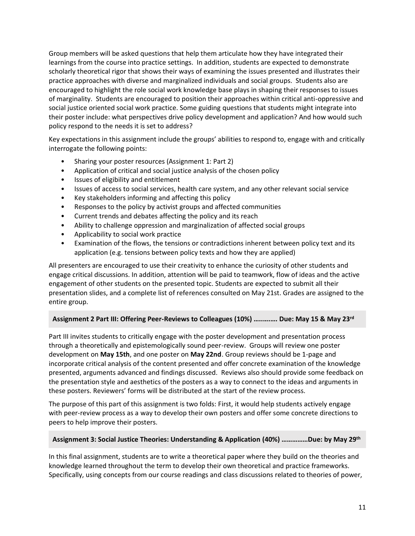Group members will be asked questions that help them articulate how they have integrated their learnings from the course into practice settings. In addition, students are expected to demonstrate scholarly theoretical rigor that shows their ways of examining the issues presented and illustrates their practice approaches with diverse and marginalized individuals and social groups. Students also are encouraged to highlight the role social work knowledge base plays in shaping their responses to issues of marginality. Students are encouraged to position their approaches within critical anti-oppressive and social justice oriented social work practice. Some guiding questions that students might integrate into their poster include: what perspectives drive policy development and application? And how would such policy respond to the needs it is set to address?

Key expectations in this assignment include the groups' abilities to respond to, engage with and critically interrogate the following points:

- Sharing your poster resources (Assignment 1: Part 2)
- Application of critical and social justice analysis of the chosen policy
- Issues of eligibility and entitlement
- Issues of access to social services, health care system, and any other relevant social service
- Key stakeholders informing and affecting this policy
- Responses to the policy by activist groups and affected communities
- Current trends and debates affecting the policy and its reach
- Ability to challenge oppression and marginalization of affected social groups
- Applicability to social work practice
- Examination of the flows, the tensions or contradictions inherent between policy text and its application (e.g. tensions between policy texts and how they are applied)

All presenters are encouraged to use their creativity to enhance the curiosity of other students and engage critical discussions. In addition, attention will be paid to teamwork, flow of ideas and the active engagement of other students on the presented topic. Students are expected to submit all their presentation slides, and a complete list of references consulted on May 21st. Grades are assigned to the entire group.

### **Assignment 2 Part III: Offering Peer-Reviews to Colleagues (10%) …..….…. Due: May 15 & May 23rd**

Part III invites students to critically engage with the poster development and presentation process through a theoretically and epistemologically sound peer-review. Groups will review one poster development on **May 15th**, and one poster on **May 22nd**. Group reviews should be 1-page and incorporate critical analysis of the content presented and offer concrete examination of the knowledge presented, arguments advanced and findings discussed. Reviews also should provide some feedback on the presentation style and aesthetics of the posters as a way to connect to the ideas and arguments in these posters. Reviewers' forms will be distributed at the start of the review process.

The purpose of this part of this assignment is two folds: First, it would help students actively engage with peer-review process as a way to develop their own posters and offer some concrete directions to peers to help improve their posters.

### **Assignment 3: Social Justice Theories: Understanding & Application (40%) ……………Due: by May 29th**

In this final assignment, students are to write a theoretical paper where they build on the theories and knowledge learned throughout the term to develop their own theoretical and practice frameworks. Specifically, using concepts from our course readings and class discussions related to theories of power,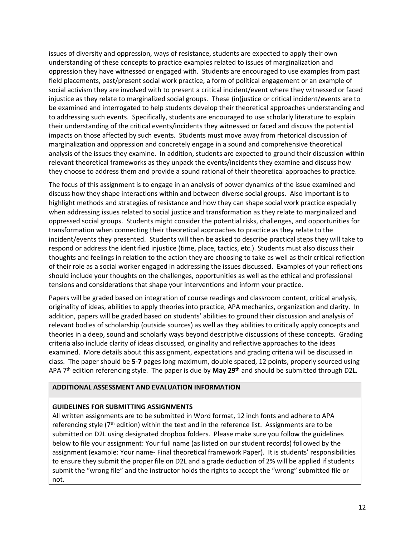issues of diversity and oppression, ways of resistance, students are expected to apply their own understanding of these concepts to practice examples related to issues of marginalization and oppression they have witnessed or engaged with. Students are encouraged to use examples from past field placements, past/present social work practice, a form of political engagement or an example of social activism they are involved with to present a critical incident/event where they witnessed or faced injustice as they relate to marginalized social groups. These (in)justice or critical incident/events are to be examined and interrogated to help students develop their theoretical approaches understanding and to addressing such events. Specifically, students are encouraged to use scholarly literature to explain their understanding of the critical events/incidents they witnessed or faced and discuss the potential impacts on those affected by such events. Students must move away from rhetorical discussion of marginalization and oppression and concretely engage in a sound and comprehensive theoretical analysis of the issues they examine. In addition, students are expected to ground their discussion within relevant theoretical frameworks as they unpack the events/incidents they examine and discuss how they choose to address them and provide a sound rational of their theoretical approaches to practice.

The focus of this assignment is to engage in an analysis of power dynamics of the issue examined and discuss how they shape interactions within and between diverse social groups. Also important is to highlight methods and strategies of resistance and how they can shape social work practice especially when addressing issues related to social justice and transformation as they relate to marginalized and oppressed social groups. Students might consider the potential risks, challenges, and opportunities for transformation when connecting their theoretical approaches to practice as they relate to the incident/events they presented. Students will then be asked to describe practical steps they will take to respond or address the identified injustice (time, place, tactics, etc.). Students must also discuss their thoughts and feelings in relation to the action they are choosing to take as well as their critical reflection of their role as a social worker engaged in addressing the issues discussed. Examples of your reflections should include your thoughts on the challenges, opportunities as well as the ethical and professional tensions and considerations that shape your interventions and inform your practice.

Papers will be graded based on integration of course readings and classroom content, critical analysis, originality of ideas, abilities to apply theories into practice, APA mechanics, organization and clarity. In addition, papers will be graded based on students' abilities to ground their discussion and analysis of relevant bodies of scholarship (outside sources) as well as they abilities to critically apply concepts and theories in a deep, sound and scholarly ways beyond descriptive discussions of these concepts. Grading criteria also include clarity of ideas discussed, originality and reflective approaches to the ideas examined. More details about this assignment, expectations and grading criteria will be discussed in class. The paper should be **5-7** pages long maximum, double spaced, 12 points, properly sourced using APA 7 th edition referencing style. The paper is due by **May 29th** and should be submitted through D2L.

## **ADDITIONAL ASSESSMENT AND EVALUATION INFORMATION**

#### **GUIDELINES FOR SUBMITTING ASSIGNMENTS**

All written assignments are to be submitted in Word format, 12 inch fonts and adhere to APA referencing style  $(7<sup>th</sup>$  edition) within the text and in the reference list. Assignments are to be submitted on D2L using designated dropbox folders. Please make sure you follow the guidelines below to file your assignment: Your full name (as listed on our student records) followed by the assignment (example: Your name- Final theoretical framework Paper). It is students' responsibilities to ensure they submit the proper file on D2L and a grade deduction of 2% will be applied if students submit the "wrong file" and the instructor holds the rights to accept the "wrong" submitted file or not.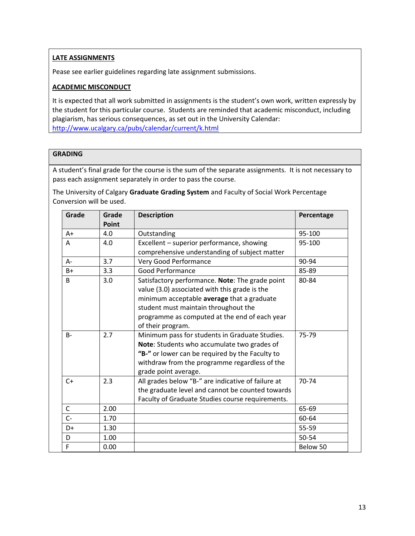# **LATE ASSIGNMENTS**

Pease see earlier guidelines regarding late assignment submissions.

# **ACADEMIC MISCONDUCT**

It is expected that all work submitted in assignments is the student's own work, written expressly by the student for this particular course. Students are reminded that academic misconduct, including plagiarism, has serious consequences, as set out in the University Calendar: <http://www.ucalgary.ca/pubs/calendar/current/k.html>

# **GRADING**

A student's final grade for the course is the sum of the separate assignments. It is not necessary to pass each assignment separately in order to pass the course.

The University of Calgary **Graduate Grading System** and Faculty of Social Work Percentage Conversion will be used.

| Grade | Grade<br>Point | <b>Description</b>                                                                                                                                                                                                                                           | Percentage |
|-------|----------------|--------------------------------------------------------------------------------------------------------------------------------------------------------------------------------------------------------------------------------------------------------------|------------|
| A+    | 4.0            | Outstanding                                                                                                                                                                                                                                                  | 95-100     |
| A     | 4.0            | Excellent - superior performance, showing<br>comprehensive understanding of subject matter                                                                                                                                                                   | 95-100     |
| $A -$ | 3.7            | Very Good Performance                                                                                                                                                                                                                                        | 90-94      |
| $B+$  | 3.3            | Good Performance                                                                                                                                                                                                                                             | 85-89      |
| B     | 3.0            | Satisfactory performance. Note: The grade point<br>value (3.0) associated with this grade is the<br>minimum acceptable average that a graduate<br>student must maintain throughout the<br>programme as computed at the end of each year<br>of their program. | 80-84      |
| $B -$ | 2.7            | Minimum pass for students in Graduate Studies.<br>Note: Students who accumulate two grades of<br>"B-" or lower can be required by the Faculty to<br>withdraw from the programme regardless of the<br>grade point average.                                    | 75-79      |
| $C+$  | 2.3            | All grades below "B-" are indicative of failure at<br>the graduate level and cannot be counted towards<br>Faculty of Graduate Studies course requirements.                                                                                                   | 70-74      |
| C     | 2.00           |                                                                                                                                                                                                                                                              | 65-69      |
| $C-$  | 1.70           |                                                                                                                                                                                                                                                              | 60-64      |
| $D+$  | 1.30           |                                                                                                                                                                                                                                                              | 55-59      |
| D     | 1.00           |                                                                                                                                                                                                                                                              | 50-54      |
| F     | 0.00           |                                                                                                                                                                                                                                                              | Below 50   |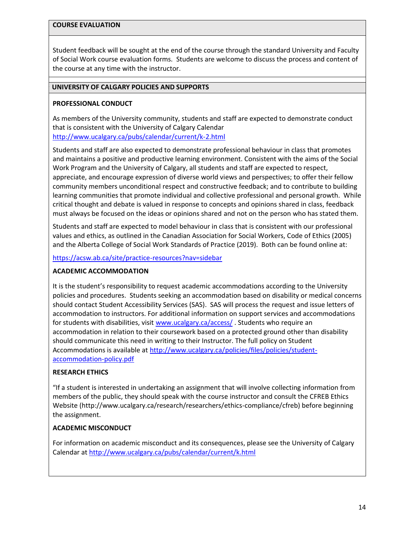#### **COURSE EVALUATION**

Student feedback will be sought at the end of the course through the standard University and Faculty of Social Work course evaluation forms. Students are welcome to discuss the process and content of the course at any time with the instructor.

## **UNIVERSITY OF CALGARY POLICIES AND SUPPORTS**

### **PROFESSIONAL CONDUCT**

As members of the University community, students and staff are expected to demonstrate conduct that is consistent with the University of Calgary Calendar <http://www.ucalgary.ca/pubs/calendar/current/k-2.html>

Students and staff are also expected to demonstrate professional behaviour in class that promotes and maintains a positive and productive learning environment. Consistent with the aims of the Social Work Program and the University of Calgary, all students and staff are expected to respect, appreciate, and encourage expression of diverse world views and perspectives; to offer their fellow community members unconditional respect and constructive feedback; and to contribute to building learning communities that promote individual and collective professional and personal growth. While critical thought and debate is valued in response to concepts and opinions shared in class, feedback must always be focused on the ideas or opinions shared and not on the person who has stated them.

Students and staff are expected to model behaviour in class that is consistent with our professional values and ethics, as outlined in the Canadian Association for Social Workers, Code of Ethics (2005) and the Alberta College of Social Work Standards of Practice (2019). Both can be found online at:

<https://acsw.ab.ca/site/practice-resources?nav=sidebar>

### **ACADEMIC ACCOMMODATION**

It is the student's responsibility to request academic accommodations according to the University policies and procedures. Students seeking an accommodation based on disability or medical concerns should contact Student Accessibility Services (SAS). SAS will process the request and issue letters of accommodation to instructors. For additional information on support services and accommodations for students with disabilities, visit [www.ucalgary.ca/access/](http://www.ucalgary.ca/access/) . Students who require an accommodation in relation to their coursework based on a protected ground other than disability should communicate this need in writing to their Instructor. The full policy on Student Accommodations is available at [http://www.ucalgary.ca/policies/files/policies/student](http://www.ucalgary.ca/policies/files/policies/student-accommodation-policy.pdf)[accommodation-policy.pdf](http://www.ucalgary.ca/policies/files/policies/student-accommodation-policy.pdf)

## **RESEARCH ETHICS**

"If a student is interested in undertaking an assignment that will involve collecting information from members of the public, they should speak with the course instructor and consult the CFREB Ethics Website [\(http://www.ucalgary.ca/research/researchers/ethics-compliance/cfreb\)](http://www.ucalgary.ca/research/researchers/ethics-compliance/cfreb) before beginning the assignment.

### **ACADEMIC MISCONDUCT**

For information on academic misconduct and its consequences, please see the University of Calgary Calendar at<http://www.ucalgary.ca/pubs/calendar/current/k.html>